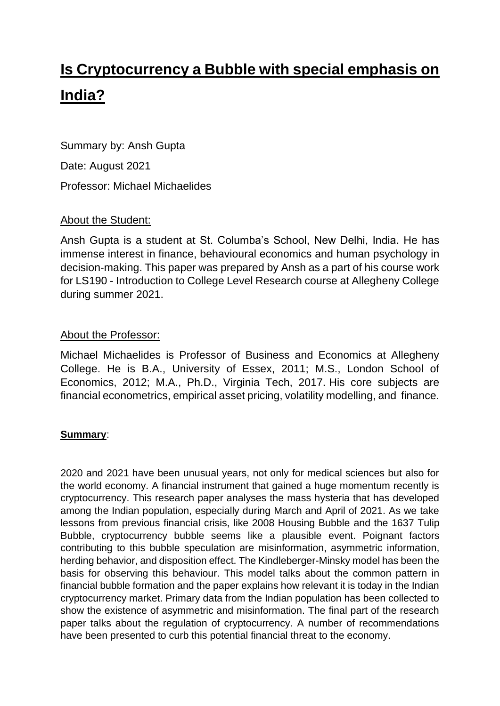# **Is Cryptocurrency a Bubble with special emphasis on India?**

Summary by: Ansh Gupta Date: August 2021 Professor: Michael Michaelides

# About the Student:

Ansh Gupta is a student at St. Columba's School, New Delhi, India. He has immense interest in finance, behavioural economics and human psychology in decision-making. This paper was prepared by Ansh as a part of his course work for LS190 - Introduction to College Level Research course at Allegheny College during summer 2021.

## About the Professor:

Michael Michaelides is Professor of Business and Economics at Allegheny College. He is B.A., University of Essex, 2011; M.S., London School of Economics, 2012; M.A., Ph.D., Virginia Tech, 2017. His core subjects are financial econometrics, empirical asset pricing, volatility modelling, and finance.

## **Summary**:

2020 and 2021 have been unusual years, not only for medical sciences but also for the world economy. A financial instrument that gained a huge momentum recently is cryptocurrency. This research paper analyses the mass hysteria that has developed among the Indian population, especially during March and April of 2021. As we take lessons from previous financial crisis, like 2008 Housing Bubble and the 1637 Tulip Bubble, cryptocurrency bubble seems like a plausible event. Poignant factors contributing to this bubble speculation are misinformation, asymmetric information, herding behavior, and disposition effect. The Kindleberger-Minsky model has been the basis for observing this behaviour. This model talks about the common pattern in financial bubble formation and the paper explains how relevant it is today in the Indian cryptocurrency market. Primary data from the Indian population has been collected to show the existence of asymmetric and misinformation. The final part of the research paper talks about the regulation of cryptocurrency. A number of recommendations have been presented to curb this potential financial threat to the economy.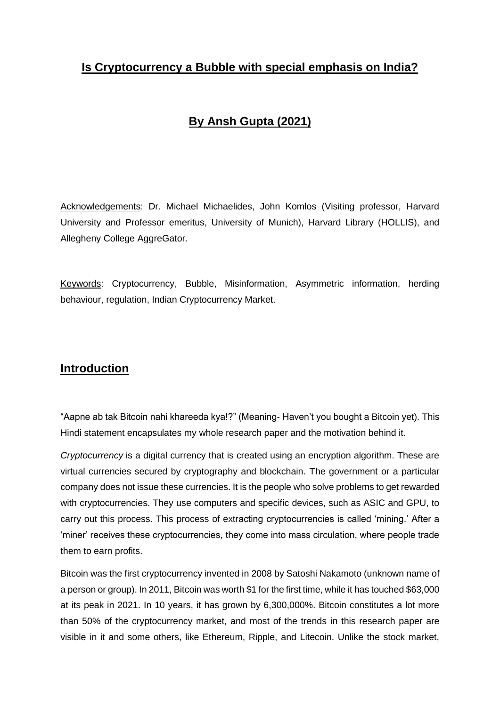# **Is Cryptocurrency a Bubble with special emphasis on India?**

# **By Ansh Gupta (2021)**

Acknowledgements: Dr. Michael Michaelides, John Komlos (Visiting professor, Harvard University and Professor emeritus, University of Munich), Harvard Library (HOLLIS), and Allegheny College AggreGator.

Keywords: Cryptocurrency, Bubble, Misinformation, Asymmetric information, herding behaviour, regulation, Indian Cryptocurrency Market.

# **Introduction**

"Aapne ab tak Bitcoin nahi khareeda kya!?" (Meaning- Haven't you bought a Bitcoin yet). This Hindi statement encapsulates my whole research paper and the motivation behind it.

*Cryptocurrency* is a digital currency that is created using an encryption algorithm. These are virtual currencies secured by cryptography and blockchain. The government or a particular company does not issue these currencies. It is the people who solve problems to get rewarded with cryptocurrencies. They use computers and specific devices, such as ASIC and GPU, to carry out this process. This process of extracting cryptocurrencies is called 'mining.' After a 'miner' receives these cryptocurrencies, they come into mass circulation, where people trade them to earn profits.

Bitcoin was the first cryptocurrency invented in 2008 by Satoshi Nakamoto (unknown name of a person or group). In 2011, Bitcoin was worth \$1 for the first time, while it has touched \$63,000 at its peak in 2021. In 10 years, it has grown by 6,300,000%. Bitcoin constitutes a lot more than 50% of the cryptocurrency market, and most of the trends in this research paper are visible in it and some others, like Ethereum, Ripple, and Litecoin. Unlike the stock market,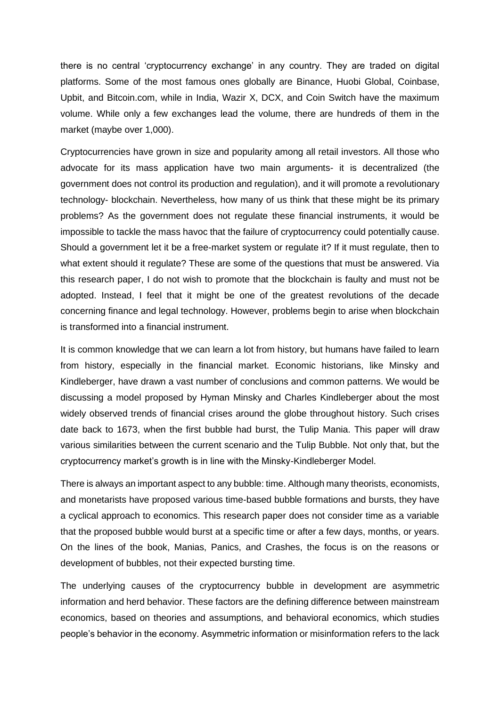there is no central 'cryptocurrency exchange' in any country. They are traded on digital platforms. Some of the most famous ones globally are Binance, Huobi Global, Coinbase, Upbit, and Bitcoin.com, while in India, Wazir X, DCX, and Coin Switch have the maximum volume. While only a few exchanges lead the volume, there are hundreds of them in the market (maybe over 1,000).

Cryptocurrencies have grown in size and popularity among all retail investors. All those who advocate for its mass application have two main arguments- it is decentralized (the government does not control its production and regulation), and it will promote a revolutionary technology- blockchain. Nevertheless, how many of us think that these might be its primary problems? As the government does not regulate these financial instruments, it would be impossible to tackle the mass havoc that the failure of cryptocurrency could potentially cause. Should a government let it be a free-market system or regulate it? If it must regulate, then to what extent should it regulate? These are some of the questions that must be answered. Via this research paper, I do not wish to promote that the blockchain is faulty and must not be adopted. Instead, I feel that it might be one of the greatest revolutions of the decade concerning finance and legal technology. However, problems begin to arise when blockchain is transformed into a financial instrument.

It is common knowledge that we can learn a lot from history, but humans have failed to learn from history, especially in the financial market. Economic historians, like Minsky and Kindleberger, have drawn a vast number of conclusions and common patterns. We would be discussing a model proposed by Hyman Minsky and Charles Kindleberger about the most widely observed trends of financial crises around the globe throughout history. Such crises date back to 1673, when the first bubble had burst, the Tulip Mania. This paper will draw various similarities between the current scenario and the Tulip Bubble. Not only that, but the cryptocurrency market's growth is in line with the Minsky-Kindleberger Model.

There is always an important aspect to any bubble: time. Although many theorists, economists, and monetarists have proposed various time-based bubble formations and bursts, they have a cyclical approach to economics. This research paper does not consider time as a variable that the proposed bubble would burst at a specific time or after a few days, months, or years. On the lines of the book, Manias, Panics, and Crashes, the focus is on the reasons or development of bubbles, not their expected bursting time.

The underlying causes of the cryptocurrency bubble in development are asymmetric information and herd behavior. These factors are the defining difference between mainstream economics, based on theories and assumptions, and behavioral economics, which studies people's behavior in the economy. Asymmetric information or misinformation refers to the lack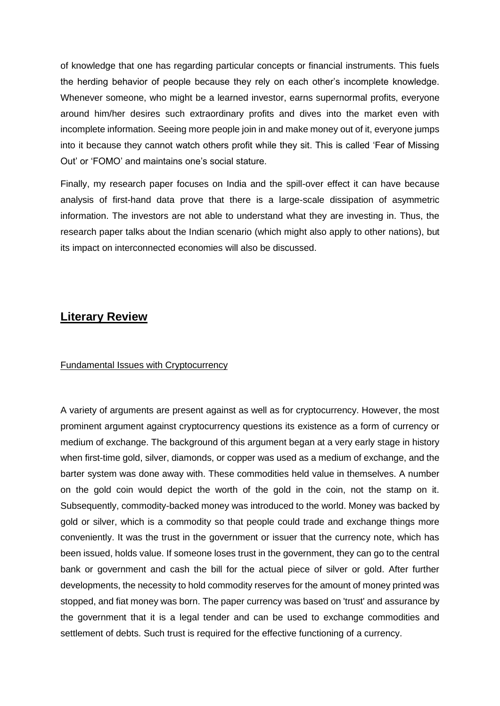of knowledge that one has regarding particular concepts or financial instruments. This fuels the herding behavior of people because they rely on each other's incomplete knowledge. Whenever someone, who might be a learned investor, earns supernormal profits, everyone around him/her desires such extraordinary profits and dives into the market even with incomplete information. Seeing more people join in and make money out of it, everyone jumps into it because they cannot watch others profit while they sit. This is called 'Fear of Missing Out' or 'FOMO' and maintains one's social stature.

Finally, my research paper focuses on India and the spill-over effect it can have because analysis of first-hand data prove that there is a large-scale dissipation of asymmetric information. The investors are not able to understand what they are investing in. Thus, the research paper talks about the Indian scenario (which might also apply to other nations), but its impact on interconnected economies will also be discussed.

## **Literary Review**

#### Fundamental Issues with Cryptocurrency

A variety of arguments are present against as well as for cryptocurrency. However, the most prominent argument against cryptocurrency questions its existence as a form of currency or medium of exchange. The background of this argument began at a very early stage in history when first-time gold, silver, diamonds, or copper was used as a medium of exchange, and the barter system was done away with. These commodities held value in themselves. A number on the gold coin would depict the worth of the gold in the coin, not the stamp on it. Subsequently, commodity-backed money was introduced to the world. Money was backed by gold or silver, which is a commodity so that people could trade and exchange things more conveniently. It was the trust in the government or issuer that the currency note, which has been issued, holds value. If someone loses trust in the government, they can go to the central bank or government and cash the bill for the actual piece of silver or gold. After further developments, the necessity to hold commodity reserves for the amount of money printed was stopped, and fiat money was born. The paper currency was based on 'trust' and assurance by the government that it is a legal tender and can be used to exchange commodities and settlement of debts. Such trust is required for the effective functioning of a currency.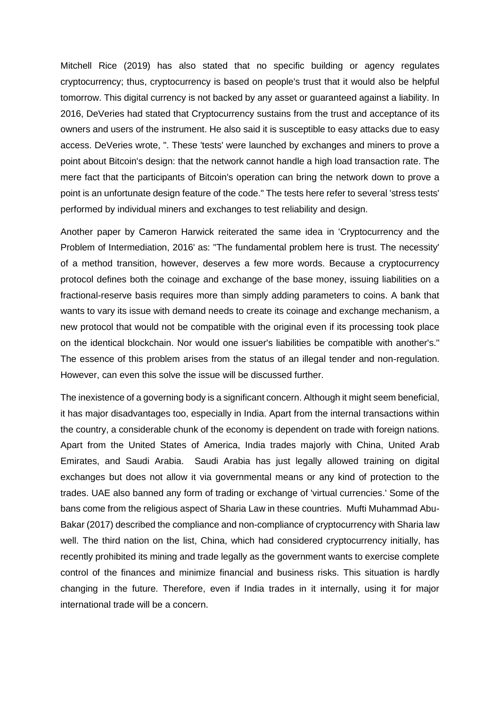Mitchell Rice (2019) has also stated that no specific building or agency regulates cryptocurrency; thus, cryptocurrency is based on people's trust that it would also be helpful tomorrow. This digital currency is not backed by any asset or guaranteed against a liability. In 2016, DeVeries had stated that Cryptocurrency sustains from the trust and acceptance of its owners and users of the instrument. He also said it is susceptible to easy attacks due to easy access. DeVeries wrote, ". These 'tests' were launched by exchanges and miners to prove a point about Bitcoin's design: that the network cannot handle a high load transaction rate. The mere fact that the participants of Bitcoin's operation can bring the network down to prove a point is an unfortunate design feature of the code." The tests here refer to several 'stress tests' performed by individual miners and exchanges to test reliability and design.

Another paper by Cameron Harwick reiterated the same idea in 'Cryptocurrency and the Problem of Intermediation, 2016' as: "The fundamental problem here is trust. The necessity' of a method transition, however, deserves a few more words. Because a cryptocurrency protocol defines both the coinage and exchange of the base money, issuing liabilities on a fractional-reserve basis requires more than simply adding parameters to coins. A bank that wants to vary its issue with demand needs to create its coinage and exchange mechanism, a new protocol that would not be compatible with the original even if its processing took place on the identical blockchain. Nor would one issuer's liabilities be compatible with another's." The essence of this problem arises from the status of an illegal tender and non-regulation. However, can even this solve the issue will be discussed further.

The inexistence of a governing body is a significant concern. Although it might seem beneficial, it has major disadvantages too, especially in India. Apart from the internal transactions within the country, a considerable chunk of the economy is dependent on trade with foreign nations. Apart from the United States of America, India trades majorly with China, United Arab Emirates, and Saudi Arabia. Saudi Arabia has just legally allowed training on digital exchanges but does not allow it via governmental means or any kind of protection to the trades. UAE also banned any form of trading or exchange of 'virtual currencies.' Some of the bans come from the religious aspect of Sharia Law in these countries. Mufti Muhammad Abu-Bakar (2017) described the compliance and non-compliance of cryptocurrency with Sharia law well. The third nation on the list, China, which had considered cryptocurrency initially, has recently prohibited its mining and trade legally as the government wants to exercise complete control of the finances and minimize financial and business risks. This situation is hardly changing in the future. Therefore, even if India trades in it internally, using it for major international trade will be a concern.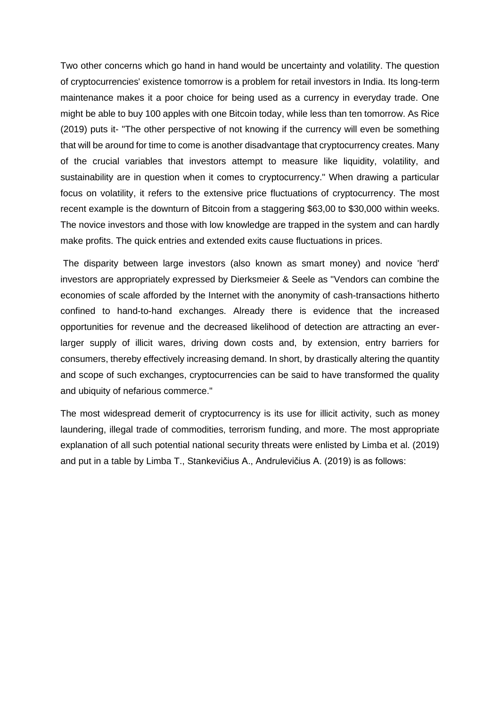Two other concerns which go hand in hand would be uncertainty and volatility. The question of cryptocurrencies' existence tomorrow is a problem for retail investors in India. Its long-term maintenance makes it a poor choice for being used as a currency in everyday trade. One might be able to buy 100 apples with one Bitcoin today, while less than ten tomorrow. As Rice (2019) puts it- "The other perspective of not knowing if the currency will even be something that will be around for time to come is another disadvantage that cryptocurrency creates. Many of the crucial variables that investors attempt to measure like liquidity, volatility, and sustainability are in question when it comes to cryptocurrency." When drawing a particular focus on volatility, it refers to the extensive price fluctuations of cryptocurrency. The most recent example is the downturn of Bitcoin from a staggering \$63,00 to \$30,000 within weeks. The novice investors and those with low knowledge are trapped in the system and can hardly make profits. The quick entries and extended exits cause fluctuations in prices.

The disparity between large investors (also known as smart money) and novice 'herd' investors are appropriately expressed by Dierksmeier & Seele as "Vendors can combine the economies of scale afforded by the Internet with the anonymity of cash-transactions hitherto confined to hand-to-hand exchanges. Already there is evidence that the increased opportunities for revenue and the decreased likelihood of detection are attracting an everlarger supply of illicit wares, driving down costs and, by extension, entry barriers for consumers, thereby effectively increasing demand. In short, by drastically altering the quantity and scope of such exchanges, cryptocurrencies can be said to have transformed the quality and ubiquity of nefarious commerce."

The most widespread demerit of cryptocurrency is its use for illicit activity, such as money laundering, illegal trade of commodities, terrorism funding, and more. The most appropriate explanation of all such potential national security threats were enlisted by Limba et al. (2019) and put in a table by Limba T., Stankevičius A., Andrulevičius A. (2019) is as follows: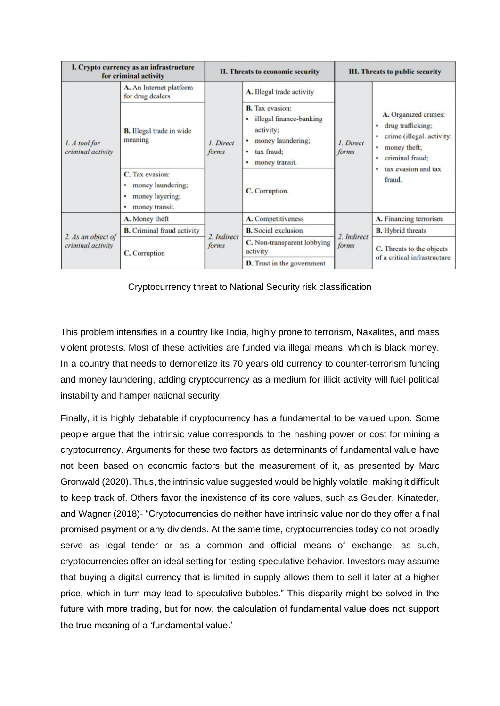| I. Crypto currency as an infrastructure<br>for criminal activity |                                                                                          | II. Threats to economic security |                                                                                                                                    | <b>III. Threats to public security</b> |                                                                                                                                                                        |
|------------------------------------------------------------------|------------------------------------------------------------------------------------------|----------------------------------|------------------------------------------------------------------------------------------------------------------------------------|----------------------------------------|------------------------------------------------------------------------------------------------------------------------------------------------------------------------|
| 1. A tool for<br>criminal activity                               | A. An Internet platform<br>for drug dealers                                              | 1. Direct<br>forms               | A. Illegal trade activity                                                                                                          | 1. Direct<br>forms                     | A. Organized crimes:<br>drug trafficking;<br>crime (illegal. activity;<br>٠<br>money theft;<br>٠<br>criminal fraud:<br>$\bullet$<br>tax evasion and tax<br>٠<br>fraud. |
|                                                                  | <b>B.</b> Illegal trade in wide<br>meaning                                               |                                  | <b>B.</b> Tax evasion:<br>illegal finance-banking<br>٠<br>activity;<br>money laundering;<br>tax fraud:<br>٠<br>money transit.<br>٠ |                                        |                                                                                                                                                                        |
|                                                                  | C. Tax evasion:<br>money laundering;<br>٠<br>money layering;<br>٠<br>money transit.<br>٠ |                                  | C. Corruption.                                                                                                                     |                                        |                                                                                                                                                                        |
| 2. As an object of<br>criminal activity                          | A. Money theft                                                                           | 2. Indirect<br>forms             | A. Competitiveness                                                                                                                 | 2. Indirect<br>forms                   | A. Financing terrorism                                                                                                                                                 |
|                                                                  | <b>B.</b> Criminal fraud activity                                                        |                                  | <b>B.</b> Social exclusion                                                                                                         |                                        | <b>B.</b> Hybrid threats                                                                                                                                               |
|                                                                  | C. Corruption                                                                            |                                  | C. Non-transparent lobbying<br>activity                                                                                            |                                        | C. Threats to the objects<br>of a critical infrastructure                                                                                                              |
|                                                                  |                                                                                          |                                  | <b>D.</b> Trust in the government                                                                                                  |                                        |                                                                                                                                                                        |

Cryptocurrency threat to National Security risk classification

This problem intensifies in a country like India, highly prone to terrorism, Naxalites, and mass violent protests. Most of these activities are funded via illegal means, which is black money. In a country that needs to demonetize its 70 years old currency to counter-terrorism funding and money laundering, adding cryptocurrency as a medium for illicit activity will fuel political instability and hamper national security.

Finally, it is highly debatable if cryptocurrency has a fundamental to be valued upon. Some people argue that the intrinsic value corresponds to the hashing power or cost for mining a cryptocurrency. Arguments for these two factors as determinants of fundamental value have not been based on economic factors but the measurement of it, as presented by Marc Gronwald (2020). Thus, the intrinsic value suggested would be highly volatile, making it difficult to keep track of. Others favor the inexistence of its core values, such as Geuder, Kinateder, and Wagner (2018)- "Cryptocurrencies do neither have intrinsic value nor do they offer a final promised payment or any dividends. At the same time, cryptocurrencies today do not broadly serve as legal tender or as a common and official means of exchange; as such, cryptocurrencies offer an ideal setting for testing speculative behavior. Investors may assume that buying a digital currency that is limited in supply allows them to sell it later at a higher price, which in turn may lead to speculative bubbles." This disparity might be solved in the future with more trading, but for now, the calculation of fundamental value does not support the true meaning of a 'fundamental value.'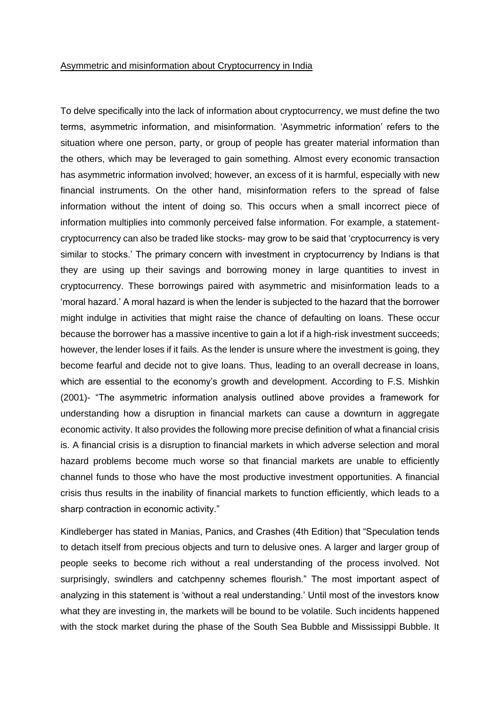#### Asymmetric and misinformation about Cryptocurrency in India

To delve specifically into the lack of information about cryptocurrency, we must define the two terms, asymmetric information, and misinformation. 'Asymmetric information' refers to the situation where one person, party, or group of people has greater material information than the others, which may be leveraged to gain something. Almost every economic transaction has asymmetric information involved; however, an excess of it is harmful, especially with new financial instruments. On the other hand, misinformation refers to the spread of false information without the intent of doing so. This occurs when a small incorrect piece of information multiplies into commonly perceived false information. For example, a statementcryptocurrency can also be traded like stocks- may grow to be said that 'cryptocurrency is very similar to stocks.' The primary concern with investment in cryptocurrency by Indians is that they are using up their savings and borrowing money in large quantities to invest in cryptocurrency. These borrowings paired with asymmetric and misinformation leads to a 'moral hazard.' A moral hazard is when the lender is subjected to the hazard that the borrower might indulge in activities that might raise the chance of defaulting on loans. These occur because the borrower has a massive incentive to gain a lot if a high-risk investment succeeds; however, the lender loses if it fails. As the lender is unsure where the investment is going, they become fearful and decide not to give loans. Thus, leading to an overall decrease in loans, which are essential to the economy's growth and development. According to F.S. Mishkin (2001)- "The asymmetric information analysis outlined above provides a framework for understanding how a disruption in financial markets can cause a downturn in aggregate economic activity. It also provides the following more precise definition of what a financial crisis is. A financial crisis is a disruption to financial markets in which adverse selection and moral hazard problems become much worse so that financial markets are unable to efficiently channel funds to those who have the most productive investment opportunities. A financial crisis thus results in the inability of financial markets to function efficiently, which leads to a sharp contraction in economic activity."

Kindleberger has stated in Manias, Panics, and Crashes (4th Edition) that "Speculation tends to detach itself from precious objects and turn to delusive ones. A larger and larger group of people seeks to become rich without a real understanding of the process involved. Not surprisingly, swindlers and catchpenny schemes flourish." The most important aspect of analyzing in this statement is 'without a real understanding.' Until most of the investors know what they are investing in, the markets will be bound to be volatile. Such incidents happened with the stock market during the phase of the South Sea Bubble and Mississippi Bubble. It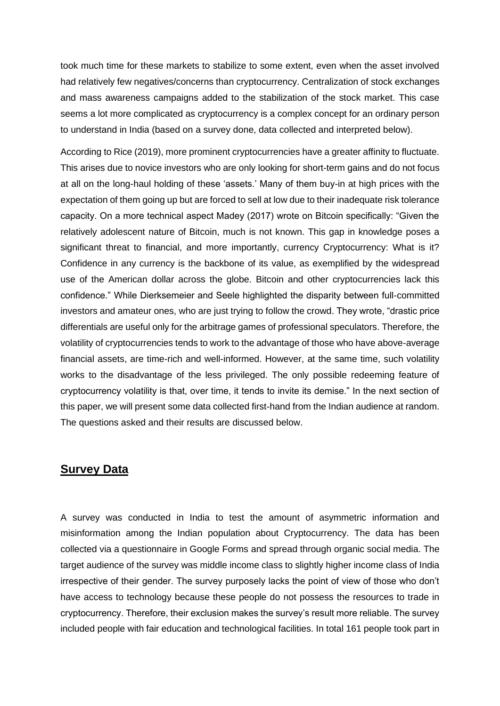took much time for these markets to stabilize to some extent, even when the asset involved had relatively few negatives/concerns than cryptocurrency. Centralization of stock exchanges and mass awareness campaigns added to the stabilization of the stock market. This case seems a lot more complicated as cryptocurrency is a complex concept for an ordinary person to understand in India (based on a survey done, data collected and interpreted below).

According to Rice (2019), more prominent cryptocurrencies have a greater affinity to fluctuate. This arises due to novice investors who are only looking for short-term gains and do not focus at all on the long-haul holding of these 'assets.' Many of them buy-in at high prices with the expectation of them going up but are forced to sell at low due to their inadequate risk tolerance capacity. On a more technical aspect Madey (2017) wrote on Bitcoin specifically: "Given the relatively adolescent nature of Bitcoin, much is not known. This gap in knowledge poses a significant threat to financial, and more importantly, currency Cryptocurrency: What is it? Confidence in any currency is the backbone of its value, as exemplified by the widespread use of the American dollar across the globe. Bitcoin and other cryptocurrencies lack this confidence." While Dierksemeier and Seele highlighted the disparity between full-committed investors and amateur ones, who are just trying to follow the crowd. They wrote, "drastic price differentials are useful only for the arbitrage games of professional speculators. Therefore, the volatility of cryptocurrencies tends to work to the advantage of those who have above-average financial assets, are time-rich and well-informed. However, at the same time, such volatility works to the disadvantage of the less privileged. The only possible redeeming feature of cryptocurrency volatility is that, over time, it tends to invite its demise." In the next section of this paper, we will present some data collected first-hand from the Indian audience at random. The questions asked and their results are discussed below.

## **Survey Data**

A survey was conducted in India to test the amount of asymmetric information and misinformation among the Indian population about Cryptocurrency. The data has been collected via a questionnaire in Google Forms and spread through organic social media. The target audience of the survey was middle income class to slightly higher income class of India irrespective of their gender. The survey purposely lacks the point of view of those who don't have access to technology because these people do not possess the resources to trade in cryptocurrency. Therefore, their exclusion makes the survey's result more reliable. The survey included people with fair education and technological facilities. In total 161 people took part in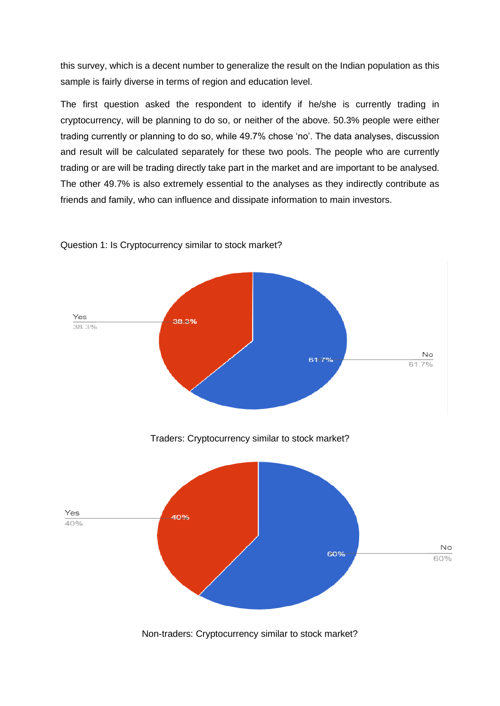this survey, which is a decent number to generalize the result on the Indian population as this sample is fairly diverse in terms of region and education level.

The first question asked the respondent to identify if he/she is currently trading in cryptocurrency, will be planning to do so, or neither of the above. 50.3% people were either trading currently or planning to do so, while 49.7% chose 'no'. The data analyses, discussion and result will be calculated separately for these two pools. The people who are currently trading or are will be trading directly take part in the market and are important to be analysed. The other 49.7% is also extremely essential to the analyses as they indirectly contribute as friends and family, who can influence and dissipate information to main investors.



Question 1: Is Cryptocurrency similar to stock market?

Non-traders: Cryptocurrency similar to stock market?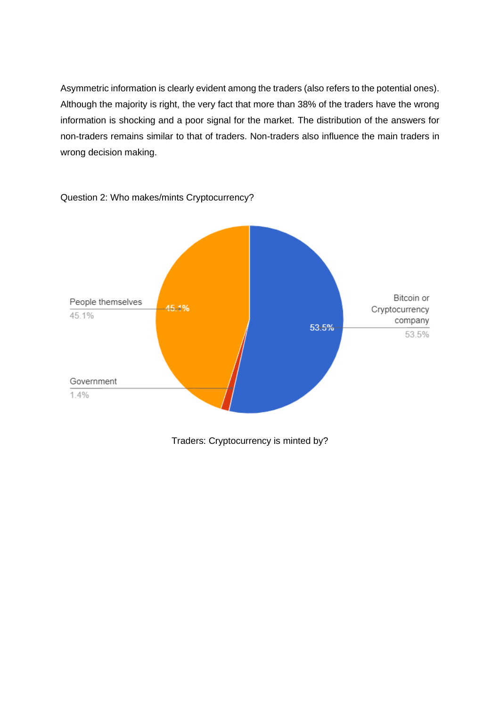Asymmetric information is clearly evident among the traders (also refers to the potential ones). Although the majority is right, the very fact that more than 38% of the traders have the wrong information is shocking and a poor signal for the market. The distribution of the answers for non-traders remains similar to that of traders. Non-traders also influence the main traders in wrong decision making.



Question 2: Who makes/mints Cryptocurrency?

Traders: Cryptocurrency is minted by?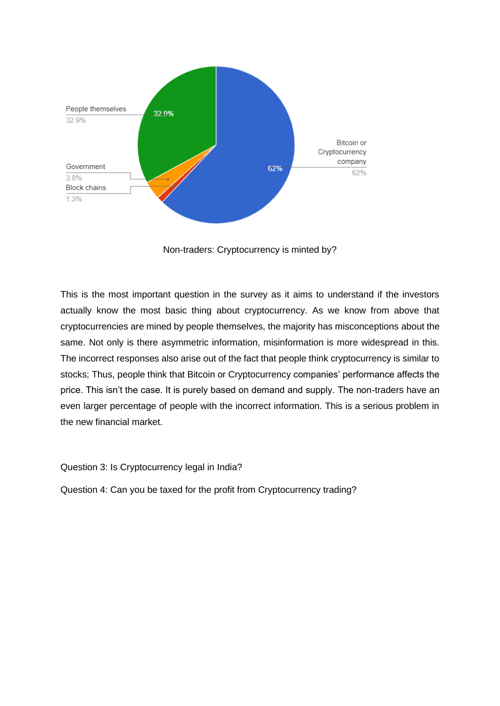

Non-traders: Cryptocurrency is minted by?

This is the most important question in the survey as it aims to understand if the investors actually know the most basic thing about cryptocurrency. As we know from above that cryptocurrencies are mined by people themselves, the majority has misconceptions about the same. Not only is there asymmetric information, misinformation is more widespread in this. The incorrect responses also arise out of the fact that people think cryptocurrency is similar to stocks; Thus, people think that Bitcoin or Cryptocurrency companies' performance affects the price. This isn't the case. It is purely based on demand and supply. The non-traders have an even larger percentage of people with the incorrect information. This is a serious problem in the new financial market.

Question 3: Is Cryptocurrency legal in India?

Question 4: Can you be taxed for the profit from Cryptocurrency trading?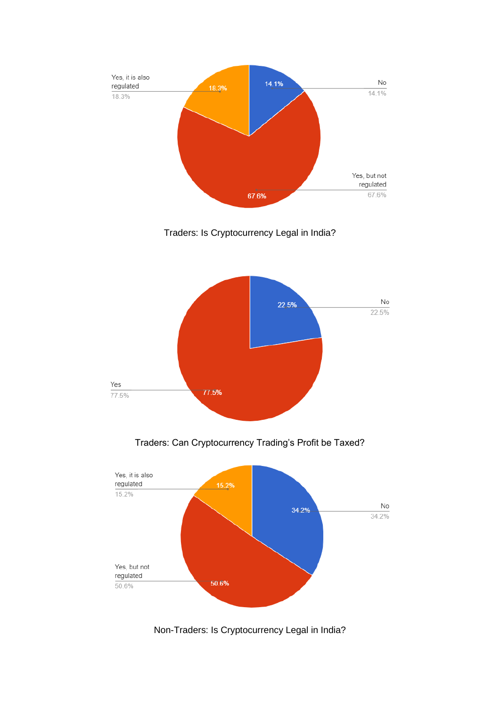

Traders: Is Cryptocurrency Legal in India?



Traders: Can Cryptocurrency Trading's Profit be Taxed?



Non-Traders: Is Cryptocurrency Legal in India?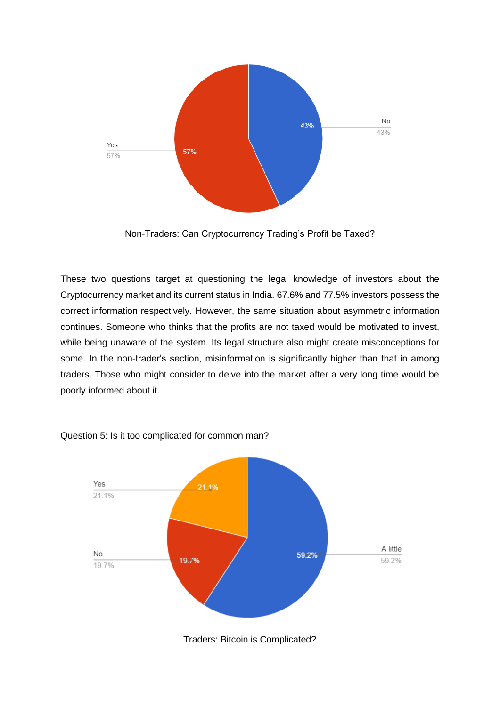

Non-Traders: Can Cryptocurrency Trading's Profit be Taxed?

These two questions target at questioning the legal knowledge of investors about the Cryptocurrency market and its current status in India. 67.6% and 77.5% investors possess the correct information respectively. However, the same situation about asymmetric information continues. Someone who thinks that the profits are not taxed would be motivated to invest, while being unaware of the system. Its legal structure also might create misconceptions for some. In the non-trader's section, misinformation is significantly higher than that in among traders. Those who might consider to delve into the market after a very long time would be poorly informed about it.



Question 5: Is it too complicated for common man?

Traders: Bitcoin is Complicated?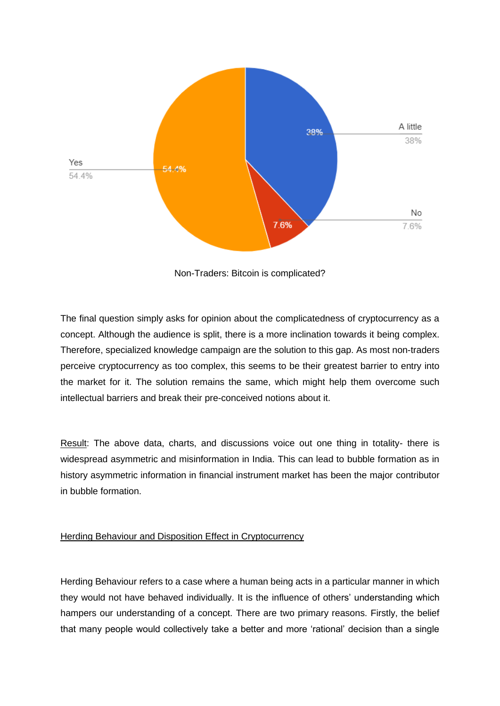

Non-Traders: Bitcoin is complicated?

The final question simply asks for opinion about the complicatedness of cryptocurrency as a concept. Although the audience is split, there is a more inclination towards it being complex. Therefore, specialized knowledge campaign are the solution to this gap. As most non-traders perceive cryptocurrency as too complex, this seems to be their greatest barrier to entry into the market for it. The solution remains the same, which might help them overcome such intellectual barriers and break their pre-conceived notions about it.

Result: The above data, charts, and discussions voice out one thing in totality- there is widespread asymmetric and misinformation in India. This can lead to bubble formation as in history asymmetric information in financial instrument market has been the major contributor in bubble formation.

#### Herding Behaviour and Disposition Effect in Cryptocurrency

Herding Behaviour refers to a case where a human being acts in a particular manner in which they would not have behaved individually. It is the influence of others' understanding which hampers our understanding of a concept. There are two primary reasons. Firstly, the belief that many people would collectively take a better and more 'rational' decision than a single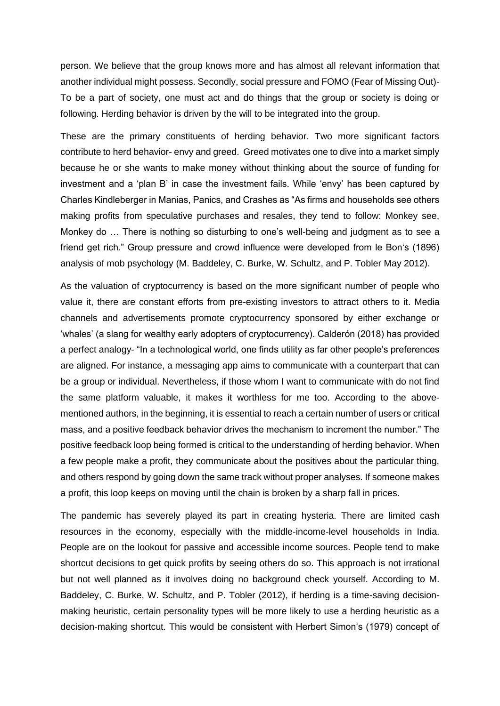person. We believe that the group knows more and has almost all relevant information that another individual might possess. Secondly, social pressure and FOMO (Fear of Missing Out)- To be a part of society, one must act and do things that the group or society is doing or following. Herding behavior is driven by the will to be integrated into the group.

These are the primary constituents of herding behavior. Two more significant factors contribute to herd behavior- envy and greed. Greed motivates one to dive into a market simply because he or she wants to make money without thinking about the source of funding for investment and a 'plan B' in case the investment fails. While 'envy' has been captured by Charles Kindleberger in Manias, Panics, and Crashes as "As firms and households see others making profits from speculative purchases and resales, they tend to follow: Monkey see, Monkey do … There is nothing so disturbing to one's well-being and judgment as to see a friend get rich." Group pressure and crowd influence were developed from le Bon's (1896) analysis of mob psychology (M. Baddeley, C. Burke, W. Schultz, and P. Tobler May 2012).

As the valuation of cryptocurrency is based on the more significant number of people who value it, there are constant efforts from pre-existing investors to attract others to it. Media channels and advertisements promote cryptocurrency sponsored by either exchange or 'whales' (a slang for wealthy early adopters of cryptocurrency). Calderón (2018) has provided a perfect analogy- "In a technological world, one finds utility as far other people's preferences are aligned. For instance, a messaging app aims to communicate with a counterpart that can be a group or individual. Nevertheless, if those whom I want to communicate with do not find the same platform valuable, it makes it worthless for me too. According to the abovementioned authors, in the beginning, it is essential to reach a certain number of users or critical mass, and a positive feedback behavior drives the mechanism to increment the number." The positive feedback loop being formed is critical to the understanding of herding behavior. When a few people make a profit, they communicate about the positives about the particular thing, and others respond by going down the same track without proper analyses. If someone makes a profit, this loop keeps on moving until the chain is broken by a sharp fall in prices.

The pandemic has severely played its part in creating hysteria. There are limited cash resources in the economy, especially with the middle-income-level households in India. People are on the lookout for passive and accessible income sources. People tend to make shortcut decisions to get quick profits by seeing others do so. This approach is not irrational but not well planned as it involves doing no background check yourself. According to M. Baddeley, C. Burke, W. Schultz, and P. Tobler (2012), if herding is a time-saving decisionmaking heuristic, certain personality types will be more likely to use a herding heuristic as a decision-making shortcut. This would be consistent with Herbert Simon's (1979) concept of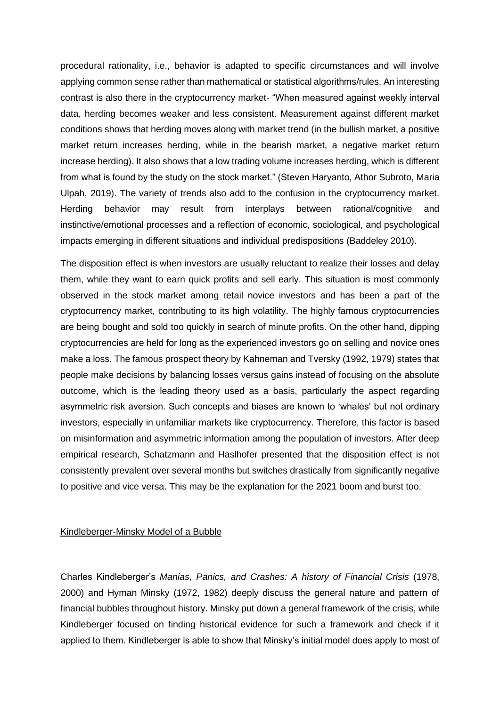procedural rationality, i.e., behavior is adapted to specific circumstances and will involve applying common sense rather than mathematical or statistical algorithms/rules. An interesting contrast is also there in the cryptocurrency market- "When measured against weekly interval data, herding becomes weaker and less consistent. Measurement against different market conditions shows that herding moves along with market trend (in the bullish market, a positive market return increases herding, while in the bearish market, a negative market return increase herding). It also shows that a low trading volume increases herding, which is different from what is found by the study on the stock market." (Steven Haryanto, Athor Subroto, Maria Ulpah, 2019). The variety of trends also add to the confusion in the cryptocurrency market. Herding behavior may result from interplays between rational/cognitive and instinctive/emotional processes and a reflection of economic, sociological, and psychological impacts emerging in different situations and individual predispositions (Baddeley 2010).

The disposition effect is when investors are usually reluctant to realize their losses and delay them, while they want to earn quick profits and sell early. This situation is most commonly observed in the stock market among retail novice investors and has been a part of the cryptocurrency market, contributing to its high volatility. The highly famous cryptocurrencies are being bought and sold too quickly in search of minute profits. On the other hand, dipping cryptocurrencies are held for long as the experienced investors go on selling and novice ones make a loss. The famous prospect theory by Kahneman and Tversky (1992, 1979) states that people make decisions by balancing losses versus gains instead of focusing on the absolute outcome, which is the leading theory used as a basis, particularly the aspect regarding asymmetric risk aversion. Such concepts and biases are known to 'whales' but not ordinary investors, especially in unfamiliar markets like cryptocurrency. Therefore, this factor is based on misinformation and asymmetric information among the population of investors. After deep empirical research, Schatzmann and Haslhofer presented that the disposition effect is not consistently prevalent over several months but switches drastically from significantly negative to positive and vice versa. This may be the explanation for the 2021 boom and burst too.

#### Kindleberger-Minsky Model of a Bubble

Charles Kindleberger's *Manias, Panics, and Crashes: A history of Financial Crisis* (1978, 2000) and Hyman Minsky (1972, 1982) deeply discuss the general nature and pattern of financial bubbles throughout history. Minsky put down a general framework of the crisis, while Kindleberger focused on finding historical evidence for such a framework and check if it applied to them. Kindleberger is able to show that Minsky's initial model does apply to most of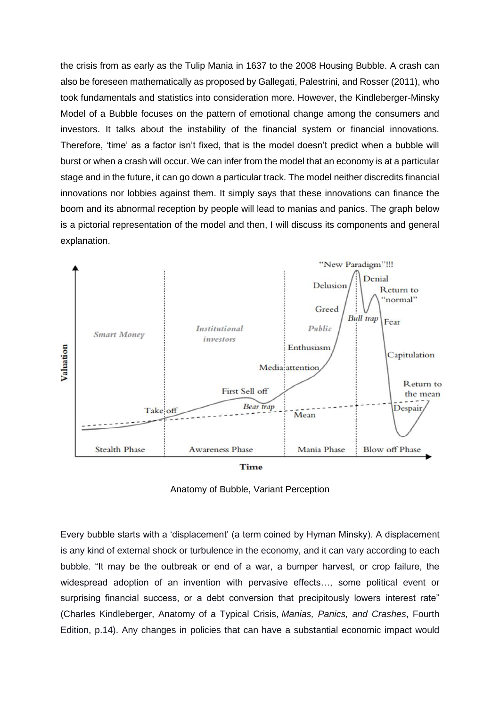the crisis from as early as the Tulip Mania in 1637 to the 2008 Housing Bubble. A crash can also be foreseen mathematically as proposed by Gallegati, Palestrini, and Rosser (2011), who took fundamentals and statistics into consideration more. However, the Kindleberger-Minsky Model of a Bubble focuses on the pattern of emotional change among the consumers and investors. It talks about the instability of the financial system or financial innovations. Therefore, 'time' as a factor isn't fixed, that is the model doesn't predict when a bubble will burst or when a crash will occur. We can infer from the model that an economy is at a particular stage and in the future, it can go down a particular track. The model neither discredits financial innovations nor lobbies against them. It simply says that these innovations can finance the boom and its abnormal reception by people will lead to manias and panics. The graph below is a pictorial representation of the model and then, I will discuss its components and general explanation.



Anatomy of Bubble, Variant Perception

Every bubble starts with a 'displacement' (a term coined by Hyman Minsky). A displacement is any kind of external shock or turbulence in the economy, and it can vary according to each bubble. "It may be the outbreak or end of a war, a bumper harvest, or crop failure, the widespread adoption of an invention with pervasive effects…, some political event or surprising financial success, or a debt conversion that precipitously lowers interest rate" (Charles Kindleberger, Anatomy of a Typical Crisis, *Manias, Panics, and Crashes*, Fourth Edition, p.14). Any changes in policies that can have a substantial economic impact would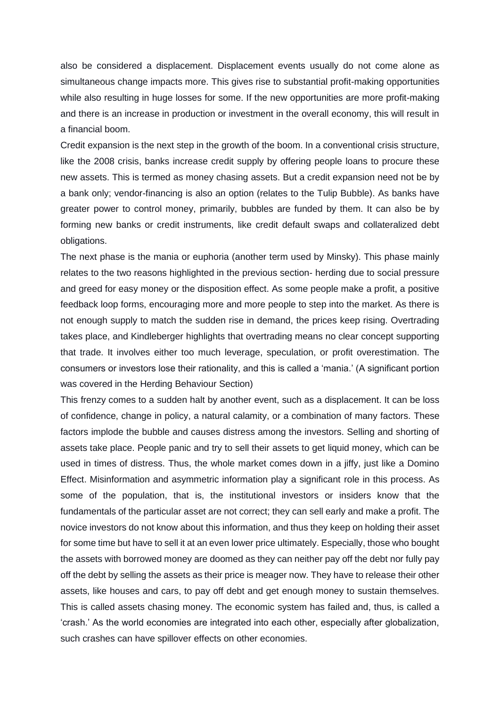also be considered a displacement. Displacement events usually do not come alone as simultaneous change impacts more. This gives rise to substantial profit-making opportunities while also resulting in huge losses for some. If the new opportunities are more profit-making and there is an increase in production or investment in the overall economy, this will result in a financial boom.

Credit expansion is the next step in the growth of the boom. In a conventional crisis structure, like the 2008 crisis, banks increase credit supply by offering people loans to procure these new assets. This is termed as money chasing assets. But a credit expansion need not be by a bank only; vendor-financing is also an option (relates to the Tulip Bubble). As banks have greater power to control money, primarily, bubbles are funded by them. It can also be by forming new banks or credit instruments, like credit default swaps and collateralized debt obligations.

The next phase is the mania or euphoria (another term used by Minsky). This phase mainly relates to the two reasons highlighted in the previous section- herding due to social pressure and greed for easy money or the disposition effect. As some people make a profit, a positive feedback loop forms, encouraging more and more people to step into the market. As there is not enough supply to match the sudden rise in demand, the prices keep rising. Overtrading takes place, and Kindleberger highlights that overtrading means no clear concept supporting that trade. It involves either too much leverage, speculation, or profit overestimation. The consumers or investors lose their rationality, and this is called a 'mania.' (A significant portion was covered in the Herding Behaviour Section)

This frenzy comes to a sudden halt by another event, such as a displacement. It can be loss of confidence, change in policy, a natural calamity, or a combination of many factors. These factors implode the bubble and causes distress among the investors. Selling and shorting of assets take place. People panic and try to sell their assets to get liquid money, which can be used in times of distress. Thus, the whole market comes down in a jiffy, just like a Domino Effect. Misinformation and asymmetric information play a significant role in this process. As some of the population, that is, the institutional investors or insiders know that the fundamentals of the particular asset are not correct; they can sell early and make a profit. The novice investors do not know about this information, and thus they keep on holding their asset for some time but have to sell it at an even lower price ultimately. Especially, those who bought the assets with borrowed money are doomed as they can neither pay off the debt nor fully pay off the debt by selling the assets as their price is meager now. They have to release their other assets, like houses and cars, to pay off debt and get enough money to sustain themselves. This is called assets chasing money. The economic system has failed and, thus, is called a 'crash.' As the world economies are integrated into each other, especially after globalization, such crashes can have spillover effects on other economies.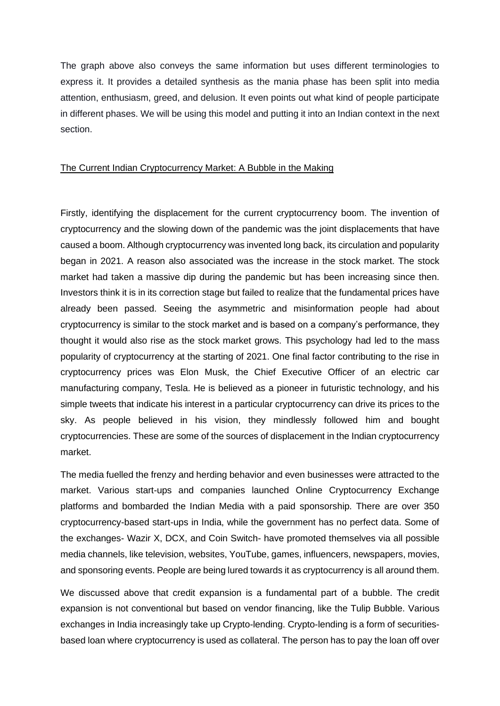The graph above also conveys the same information but uses different terminologies to express it. It provides a detailed synthesis as the mania phase has been split into media attention, enthusiasm, greed, and delusion. It even points out what kind of people participate in different phases. We will be using this model and putting it into an Indian context in the next section.

#### The Current Indian Cryptocurrency Market: A Bubble in the Making

Firstly, identifying the displacement for the current cryptocurrency boom. The invention of cryptocurrency and the slowing down of the pandemic was the joint displacements that have caused a boom. Although cryptocurrency was invented long back, its circulation and popularity began in 2021. A reason also associated was the increase in the stock market. The stock market had taken a massive dip during the pandemic but has been increasing since then. Investors think it is in its correction stage but failed to realize that the fundamental prices have already been passed. Seeing the asymmetric and misinformation people had about cryptocurrency is similar to the stock market and is based on a company's performance, they thought it would also rise as the stock market grows. This psychology had led to the mass popularity of cryptocurrency at the starting of 2021. One final factor contributing to the rise in cryptocurrency prices was Elon Musk, the Chief Executive Officer of an electric car manufacturing company, Tesla. He is believed as a pioneer in futuristic technology, and his simple tweets that indicate his interest in a particular cryptocurrency can drive its prices to the sky. As people believed in his vision, they mindlessly followed him and bought cryptocurrencies. These are some of the sources of displacement in the Indian cryptocurrency market.

The media fuelled the frenzy and herding behavior and even businesses were attracted to the market. Various start-ups and companies launched Online Cryptocurrency Exchange platforms and bombarded the Indian Media with a paid sponsorship. There are over 350 cryptocurrency-based start-ups in India, while the government has no perfect data. Some of the exchanges- Wazir X, DCX, and Coin Switch- have promoted themselves via all possible media channels, like television, websites, YouTube, games, influencers, newspapers, movies, and sponsoring events. People are being lured towards it as cryptocurrency is all around them.

We discussed above that credit expansion is a fundamental part of a bubble. The credit expansion is not conventional but based on vendor financing, like the Tulip Bubble. Various exchanges in India increasingly take up Crypto-lending. Crypto-lending is a form of securitiesbased loan where cryptocurrency is used as collateral. The person has to pay the loan off over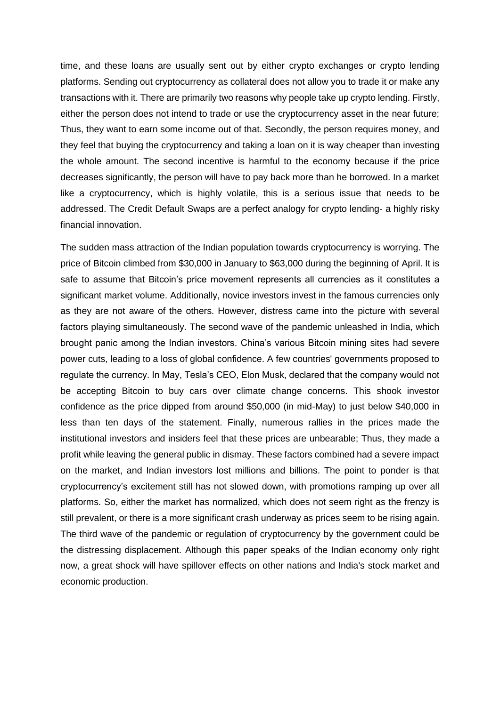time, and these loans are usually sent out by either crypto exchanges or crypto lending platforms. Sending out cryptocurrency as collateral does not allow you to trade it or make any transactions with it. There are primarily two reasons why people take up crypto lending. Firstly, either the person does not intend to trade or use the cryptocurrency asset in the near future; Thus, they want to earn some income out of that. Secondly, the person requires money, and they feel that buying the cryptocurrency and taking a loan on it is way cheaper than investing the whole amount. The second incentive is harmful to the economy because if the price decreases significantly, the person will have to pay back more than he borrowed. In a market like a cryptocurrency, which is highly volatile, this is a serious issue that needs to be addressed. The Credit Default Swaps are a perfect analogy for crypto lending- a highly risky financial innovation.

The sudden mass attraction of the Indian population towards cryptocurrency is worrying. The price of Bitcoin climbed from \$30,000 in January to \$63,000 during the beginning of April. It is safe to assume that Bitcoin's price movement represents all currencies as it constitutes a significant market volume. Additionally, novice investors invest in the famous currencies only as they are not aware of the others. However, distress came into the picture with several factors playing simultaneously. The second wave of the pandemic unleashed in India, which brought panic among the Indian investors. China's various Bitcoin mining sites had severe power cuts, leading to a loss of global confidence. A few countries' governments proposed to regulate the currency. In May, Tesla's CEO, Elon Musk, declared that the company would not be accepting Bitcoin to buy cars over climate change concerns. This shook investor confidence as the price dipped from around \$50,000 (in mid-May) to just below \$40,000 in less than ten days of the statement. Finally, numerous rallies in the prices made the institutional investors and insiders feel that these prices are unbearable; Thus, they made a profit while leaving the general public in dismay. These factors combined had a severe impact on the market, and Indian investors lost millions and billions. The point to ponder is that cryptocurrency's excitement still has not slowed down, with promotions ramping up over all platforms. So, either the market has normalized, which does not seem right as the frenzy is still prevalent, or there is a more significant crash underway as prices seem to be rising again. The third wave of the pandemic or regulation of cryptocurrency by the government could be the distressing displacement. Although this paper speaks of the Indian economy only right now, a great shock will have spillover effects on other nations and India's stock market and economic production.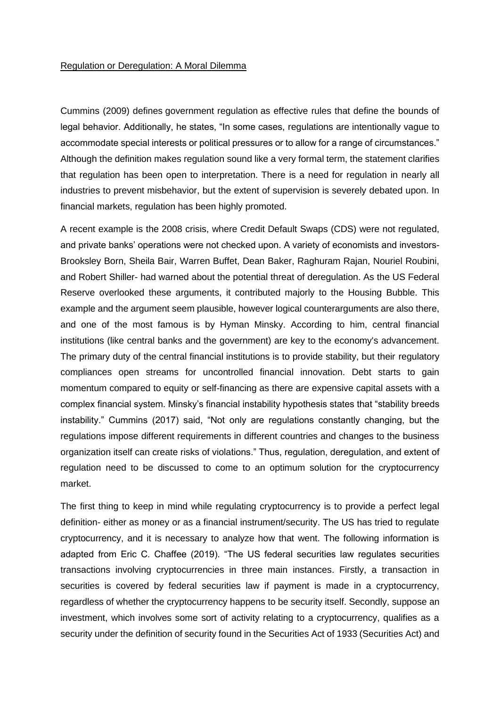#### Regulation or Deregulation: A Moral Dilemma

Cummins (2009) defines government regulation as effective rules that define the bounds of legal behavior. Additionally, he states, "In some cases, regulations are intentionally vague to accommodate special interests or political pressures or to allow for a range of circumstances." Although the definition makes regulation sound like a very formal term, the statement clarifies that regulation has been open to interpretation. There is a need for regulation in nearly all industries to prevent misbehavior, but the extent of supervision is severely debated upon. In financial markets, regulation has been highly promoted.

A recent example is the 2008 crisis, where Credit Default Swaps (CDS) were not regulated, and private banks' operations were not checked upon. A variety of economists and investors-Brooksley Born, Sheila Bair, Warren Buffet, Dean Baker, Raghuram Rajan, Nouriel Roubini, and Robert Shiller- had warned about the potential threat of deregulation. As the US Federal Reserve overlooked these arguments, it contributed majorly to the Housing Bubble. This example and the argument seem plausible, however logical counterarguments are also there, and one of the most famous is by Hyman Minsky. According to him, central financial institutions (like central banks and the government) are key to the economy's advancement. The primary duty of the central financial institutions is to provide stability, but their regulatory compliances open streams for uncontrolled financial innovation. Debt starts to gain momentum compared to equity or self-financing as there are expensive capital assets with a complex financial system. Minsky's financial instability hypothesis states that "stability breeds instability." Cummins (2017) said, "Not only are regulations constantly changing, but the regulations impose different requirements in different countries and changes to the business organization itself can create risks of violations." Thus, regulation, deregulation, and extent of regulation need to be discussed to come to an optimum solution for the cryptocurrency market.

The first thing to keep in mind while regulating cryptocurrency is to provide a perfect legal definition- either as money or as a financial instrument/security. The US has tried to regulate cryptocurrency, and it is necessary to analyze how that went. The following information is adapted from Eric C. Chaffee (2019). "The US federal securities law regulates securities transactions involving cryptocurrencies in three main instances. Firstly, a transaction in securities is covered by federal securities law if payment is made in a cryptocurrency, regardless of whether the cryptocurrency happens to be security itself. Secondly, suppose an investment, which involves some sort of activity relating to a cryptocurrency, qualifies as a security under the definition of security found in the Securities Act of 1933 (Securities Act) and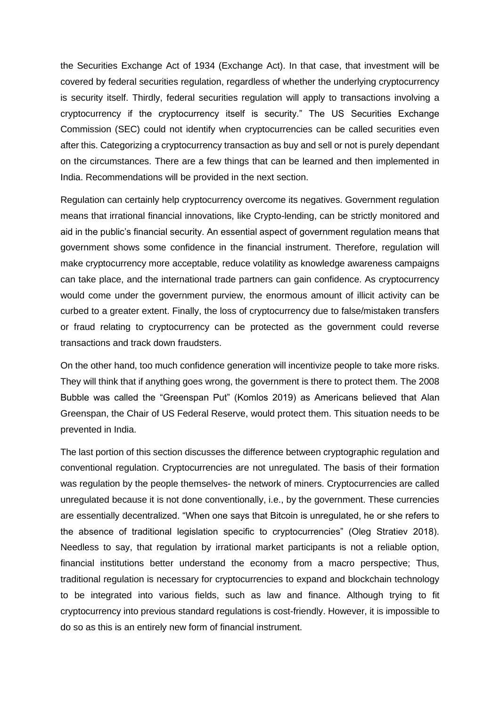the Securities Exchange Act of 1934 (Exchange Act). In that case, that investment will be covered by federal securities regulation, regardless of whether the underlying cryptocurrency is security itself. Thirdly, federal securities regulation will apply to transactions involving a cryptocurrency if the cryptocurrency itself is security." The US Securities Exchange Commission (SEC) could not identify when cryptocurrencies can be called securities even after this. Categorizing a cryptocurrency transaction as buy and sell or not is purely dependant on the circumstances. There are a few things that can be learned and then implemented in India. Recommendations will be provided in the next section.

Regulation can certainly help cryptocurrency overcome its negatives. Government regulation means that irrational financial innovations, like Crypto-lending, can be strictly monitored and aid in the public's financial security. An essential aspect of government regulation means that government shows some confidence in the financial instrument. Therefore, regulation will make cryptocurrency more acceptable, reduce volatility as knowledge awareness campaigns can take place, and the international trade partners can gain confidence. As cryptocurrency would come under the government purview, the enormous amount of illicit activity can be curbed to a greater extent. Finally, the loss of cryptocurrency due to false/mistaken transfers or fraud relating to cryptocurrency can be protected as the government could reverse transactions and track down fraudsters.

On the other hand, too much confidence generation will incentivize people to take more risks. They will think that if anything goes wrong, the government is there to protect them. The 2008 Bubble was called the "Greenspan Put" (Komlos 2019) as Americans believed that Alan Greenspan, the Chair of US Federal Reserve, would protect them. This situation needs to be prevented in India.

The last portion of this section discusses the difference between cryptographic regulation and conventional regulation. Cryptocurrencies are not unregulated. The basis of their formation was regulation by the people themselves- the network of miners. Cryptocurrencies are called unregulated because it is not done conventionally, i.e., by the government. These currencies are essentially decentralized. "When one says that Bitcoin is unregulated, he or she refers to the absence of traditional legislation specific to cryptocurrencies" (Oleg Stratiev 2018). Needless to say, that regulation by irrational market participants is not a reliable option, financial institutions better understand the economy from a macro perspective; Thus, traditional regulation is necessary for cryptocurrencies to expand and blockchain technology to be integrated into various fields, such as law and finance. Although trying to fit cryptocurrency into previous standard regulations is cost-friendly. However, it is impossible to do so as this is an entirely new form of financial instrument.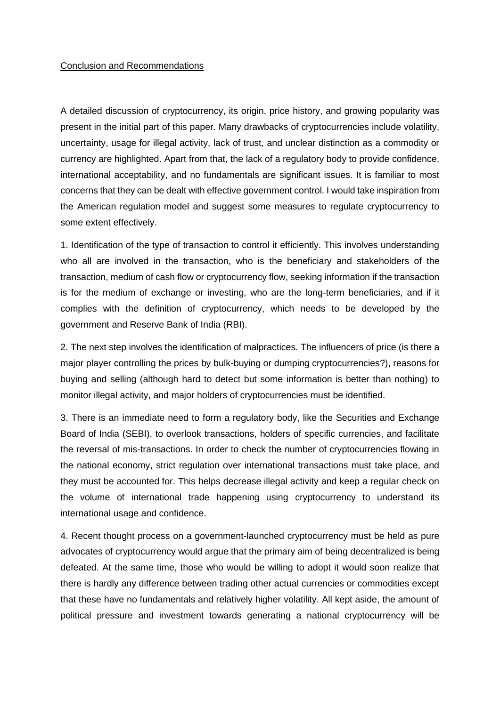#### Conclusion and Recommendations

A detailed discussion of cryptocurrency, its origin, price history, and growing popularity was present in the initial part of this paper. Many drawbacks of cryptocurrencies include volatility, uncertainty, usage for illegal activity, lack of trust, and unclear distinction as a commodity or currency are highlighted. Apart from that, the lack of a regulatory body to provide confidence, international acceptability, and no fundamentals are significant issues. It is familiar to most concerns that they can be dealt with effective government control. I would take inspiration from the American regulation model and suggest some measures to regulate cryptocurrency to some extent effectively.

1. Identification of the type of transaction to control it efficiently. This involves understanding who all are involved in the transaction, who is the beneficiary and stakeholders of the transaction, medium of cash flow or cryptocurrency flow, seeking information if the transaction is for the medium of exchange or investing, who are the long-term beneficiaries, and if it complies with the definition of cryptocurrency, which needs to be developed by the government and Reserve Bank of India (RBI).

2. The next step involves the identification of malpractices. The influencers of price (is there a major player controlling the prices by bulk-buying or dumping cryptocurrencies?), reasons for buying and selling (although hard to detect but some information is better than nothing) to monitor illegal activity, and major holders of cryptocurrencies must be identified.

3. There is an immediate need to form a regulatory body, like the Securities and Exchange Board of India (SEBI), to overlook transactions, holders of specific currencies, and facilitate the reversal of mis-transactions. In order to check the number of cryptocurrencies flowing in the national economy, strict regulation over international transactions must take place, and they must be accounted for. This helps decrease illegal activity and keep a regular check on the volume of international trade happening using cryptocurrency to understand its international usage and confidence.

4. Recent thought process on a government-launched cryptocurrency must be held as pure advocates of cryptocurrency would argue that the primary aim of being decentralized is being defeated. At the same time, those who would be willing to adopt it would soon realize that there is hardly any difference between trading other actual currencies or commodities except that these have no fundamentals and relatively higher volatility. All kept aside, the amount of political pressure and investment towards generating a national cryptocurrency will be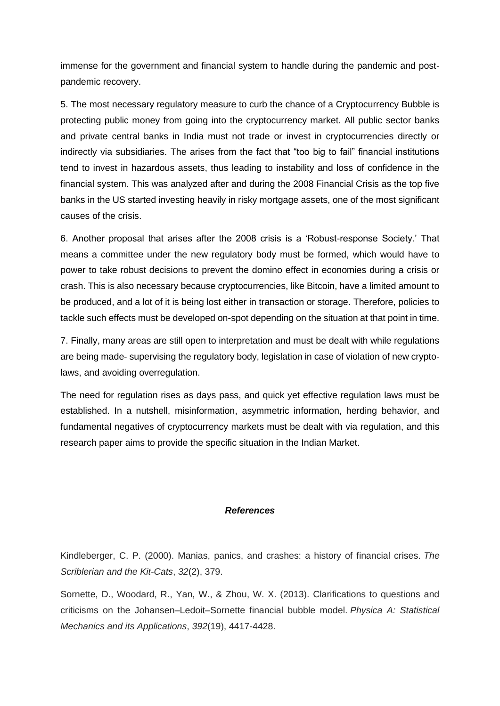immense for the government and financial system to handle during the pandemic and postpandemic recovery.

5. The most necessary regulatory measure to curb the chance of a Cryptocurrency Bubble is protecting public money from going into the cryptocurrency market. All public sector banks and private central banks in India must not trade or invest in cryptocurrencies directly or indirectly via subsidiaries. The arises from the fact that "too big to fail" financial institutions tend to invest in hazardous assets, thus leading to instability and loss of confidence in the financial system. This was analyzed after and during the 2008 Financial Crisis as the top five banks in the US started investing heavily in risky mortgage assets, one of the most significant causes of the crisis.

6. Another proposal that arises after the 2008 crisis is a 'Robust-response Society.' That means a committee under the new regulatory body must be formed, which would have to power to take robust decisions to prevent the domino effect in economies during a crisis or crash. This is also necessary because cryptocurrencies, like Bitcoin, have a limited amount to be produced, and a lot of it is being lost either in transaction or storage. Therefore, policies to tackle such effects must be developed on-spot depending on the situation at that point in time.

7. Finally, many areas are still open to interpretation and must be dealt with while regulations are being made- supervising the regulatory body, legislation in case of violation of new cryptolaws, and avoiding overregulation.

The need for regulation rises as days pass, and quick yet effective regulation laws must be established. In a nutshell, misinformation, asymmetric information, herding behavior, and fundamental negatives of cryptocurrency markets must be dealt with via regulation, and this research paper aims to provide the specific situation in the Indian Market.

#### *References*

Kindleberger, C. P. (2000). Manias, panics, and crashes: a history of financial crises. *The Scriblerian and the Kit-Cats*, *32*(2), 379.

Sornette, D., Woodard, R., Yan, W., & Zhou, W. X. (2013). Clarifications to questions and criticisms on the Johansen–Ledoit–Sornette financial bubble model. *Physica A: Statistical Mechanics and its Applications*, *392*(19), 4417-4428.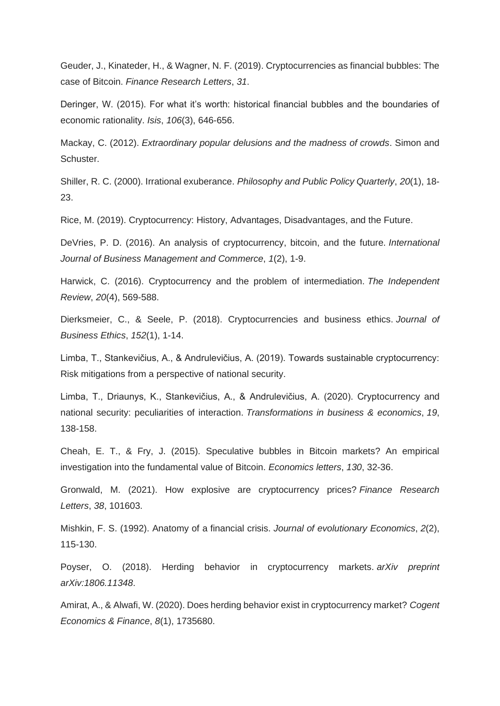Geuder, J., Kinateder, H., & Wagner, N. F. (2019). Cryptocurrencies as financial bubbles: The case of Bitcoin. *Finance Research Letters*, *31*.

Deringer, W. (2015). For what it's worth: historical financial bubbles and the boundaries of economic rationality. *Isis*, *106*(3), 646-656.

Mackay, C. (2012). *Extraordinary popular delusions and the madness of crowds*. Simon and Schuster.

Shiller, R. C. (2000). Irrational exuberance. *Philosophy and Public Policy Quarterly*, *20*(1), 18- 23.

Rice, M. (2019). Cryptocurrency: History, Advantages, Disadvantages, and the Future.

DeVries, P. D. (2016). An analysis of cryptocurrency, bitcoin, and the future. *International Journal of Business Management and Commerce*, *1*(2), 1-9.

Harwick, C. (2016). Cryptocurrency and the problem of intermediation. *The Independent Review*, *20*(4), 569-588.

Dierksmeier, C., & Seele, P. (2018). Cryptocurrencies and business ethics. *Journal of Business Ethics*, *152*(1), 1-14.

Limba, T., Stankevičius, A., & Andrulevičius, A. (2019). Towards sustainable cryptocurrency: Risk mitigations from a perspective of national security.

Limba, T., Driaunys, K., Stankevičius, A., & Andrulevičius, A. (2020). Cryptocurrency and national security: peculiarities of interaction. *Transformations in business & economics*, *19*, 138-158.

Cheah, E. T., & Fry, J. (2015). Speculative bubbles in Bitcoin markets? An empirical investigation into the fundamental value of Bitcoin. *Economics letters*, *130*, 32-36.

Gronwald, M. (2021). How explosive are cryptocurrency prices? *Finance Research Letters*, *38*, 101603.

Mishkin, F. S. (1992). Anatomy of a financial crisis. *Journal of evolutionary Economics*, *2*(2), 115-130.

Poyser, O. (2018). Herding behavior in cryptocurrency markets. *arXiv preprint arXiv:1806.11348*.

Amirat, A., & Alwafi, W. (2020). Does herding behavior exist in cryptocurrency market? *Cogent Economics & Finance*, *8*(1), 1735680.